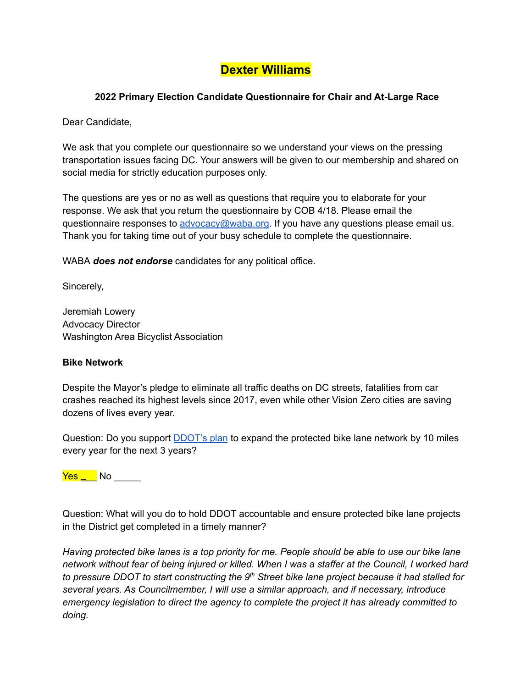# **Dexter Williams**

## **2022 Primary Election Candidate Questionnaire for Chair and At-Large Race**

Dear Candidate,

We ask that you complete our questionnaire so we understand your views on the pressing transportation issues facing DC. Your answers will be given to our membership and shared on social media for strictly education purposes only.

The questions are yes or no as well as questions that require you to elaborate for your response. We ask that you return the questionnaire by COB 4/18. Please email the questionnaire responses to [advocacy@waba.org.](mailto:advocacy@waba.org) If you have any questions please email us. Thank you for taking time out of your busy schedule to complete the questionnaire.

WABA *does not endorse* candidates for any political office.

Sincerely,

Jeremiah Lowery Advocacy Director Washington Area Bicyclist Association

#### **Bike Network**

Despite the Mayor's pledge to eliminate all traffic deaths on DC streets, fatalities from car crashes reached its highest levels since 2017, even while other Vision Zero cities are saving dozens of lives every year.

Question: Do you support **[DDOT's plan](https://ddot.dc.gov/page/bicycle-lanes)** to expand the protected bike lane network by 10 miles every year for the next 3 years?

<mark>Yes \_</mark>\_\_ No \_\_\_\_\_

Question: What will you do to hold DDOT accountable and ensure protected bike lane projects in the District get completed in a timely manner?

*Having protected bike lanes is a top priority for me. People should be able to use our bike lane network without fear of being injured or killed. When I was a staffer at the Council, I worked hard to pressure DDOT to start constructing the 9th Street bike lane project because it had stalled for several years. As Councilmember, I will use a similar approach, and if necessary, introduce emergency legislation to direct the agency to complete the project it has already committed to doing.*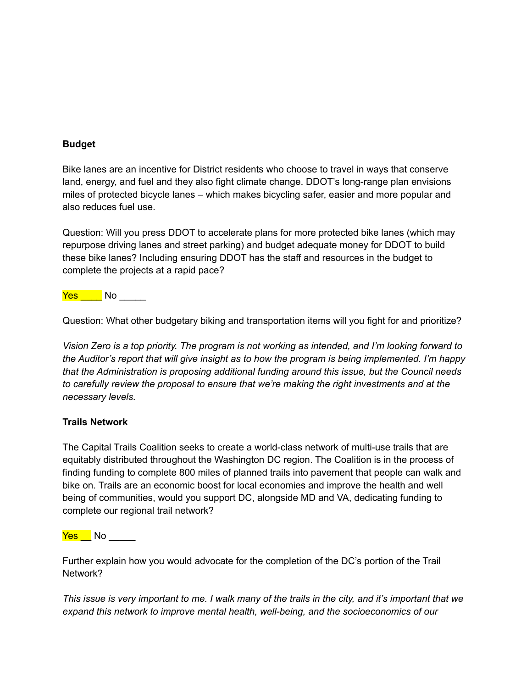#### **Budget**

Bike lanes are an incentive for District residents who choose to travel in ways that conserve land, energy, and fuel and they also fight climate change. DDOT's long-range plan envisions miles of protected bicycle lanes – which makes bicycling safer, easier and more popular and also reduces fuel use.

Question: Will you press DDOT to accelerate plans for more protected bike lanes (which may repurpose driving lanes and street parking) and budget adequate money for DDOT to build these bike lanes? Including ensuring DDOT has the staff and resources in the budget to complete the projects at a rapid pace?

<mark>Yes N</mark>o No

Question: What other budgetary biking and transportation items will you fight for and prioritize?

*Vision Zero is a top priority. The program is not working as intended, and I'm looking forward to the Auditor's report that will give insight as to how the program is being implemented. I'm happy that the Administration is proposing additional funding around this issue, but the Council needs to carefully review the proposal to ensure that we're making the right investments and at the necessary levels.*

#### **Trails Network**

The Capital Trails Coalition seeks to create a world-class network of multi-use trails that are equitably distributed throughout the Washington DC region. The Coalition is in the process of finding funding to complete 800 miles of planned trails into pavement that people can walk and bike on. Trails are an economic boost for local economies and improve the health and well being of communities, would you support DC, alongside MD and VA, dedicating funding to complete our regional trail network?

<mark>Yes N</mark>o \_\_\_\_\_\_

Further explain how you would advocate for the completion of the DC's portion of the Trail Network?

*This issue is very important to me. I walk many of the trails in the city, and it's important that we expand this network to improve mental health, well-being, and the socioeconomics of our*